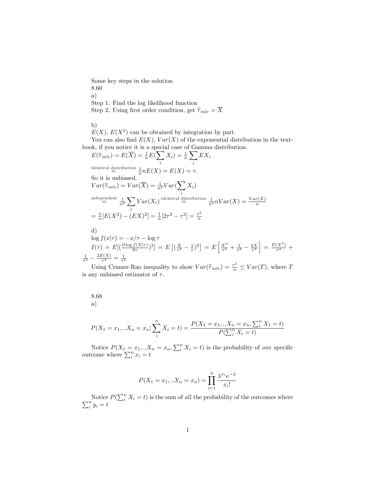Some key steps in the solution 8.60 a) Step 1. Find the log likelihood function Step 2. Using first order condition, get  $\widehat{\tau}_{mle} = \overline{X}$ 

b)

 $E(X)$ ,  $E(X^2)$  can be obtained by integration by part.

You can also find  $E(X)$ ,  $Var(X)$  of the exponential distribution in the textbook, if you notice it is a special case of Gamma distribution.

$$
E(\widehat{\tau}_{mle}) = E(\overline{X}) = \frac{1}{n}E(\sum_{i} X_{i}) = \frac{1}{n} \sum_{i} EX_{i}
$$
  
\nidentical distribution  $\frac{1}{n}nE(X) = E(X) = \tau$ .  
\nSo it is unbiased.  
\n
$$
Var(\widehat{\tau}_{mle}) = Var(\overline{X}) = \frac{1}{n^{2}}Var(\sum_{i} X_{i})
$$
  
\nindependent  $\frac{1}{n^{2}} \sum_{i} Var(X_{i})$  identical distribution  $\frac{1}{n^{2}}nVar(X) = \frac{Var(X)}{n}$   
\n
$$
= \frac{1}{n}[E(X^{2}) - (EX)^{2}] = \frac{1}{n}[2\tau^{2} - \tau^{2}] = \frac{\tau^{2}}{n}
$$
  
\nd)  
\n
$$
log f(x|\tau) = -x/\tau - log \tau
$$
  
\n
$$
I(\tau) = E[(\frac{\partial log f(\tau|\tau)}{\partial \tau})^{2}] = E[(\frac{X}{\tau^{2}} - \frac{1}{\tau})^{2}] = E[\frac{X^{2}}{\tau^{4}} + \frac{1}{\tau^{2}} - \frac{2X}{\tau^{3}}] = \frac{E(X^{2})}{\tau^{4}} + \frac{1}{\tau^{2}} - \frac{2E(X)}{\tau^{3}} = \frac{1}{\tau^{4}}
$$

 $\frac{2E(X)}{\tau^3} = \frac{1}{\tau^2}$ <br>Using Cramer-Rao inequality to show  $Var(\hat{\tau}_{mle}) = \frac{\tau^2}{n} \leq Var(T)$ , where T is any unbiased estimator of  $\tau$ .

8.68 a)  $P(X_1 = x_1, ... X_n = x_n | \sum^{n}$  $X_i = t$ ) =  $\frac{P(X_1 = x_1, \ldots, X_n = x_n, \sum_i^n X_i = t)}{P(\sum_i^n X_i)}$  $P(\sum_i^n X_i = t)$ 

Notice  $P(X_1 = x_1,..X_n = x_n, \sum_i^n X_i = t)$  is the probability of one specific outcome where  $\sum_i^n x_i = t$ 

i

$$
P(X_1 = x_1, ... X_n = x_n) = \prod_{i=1}^{n} \frac{\lambda^{x_i} e^{-\lambda}}{x_i!}
$$

Notice  $P(\sum_{i=1}^n$ Notice  $P(\sum_{i}^{n} X_i = t)$  is the sum of all the probability of the outcomes where  $\sum_{i}^{n} y_i = t$